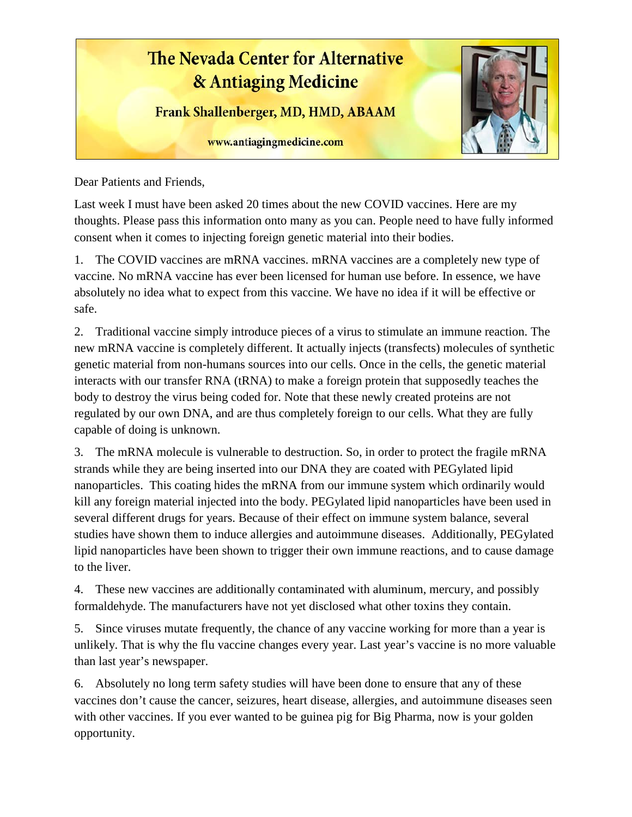

Dear Patients and Friends,

Last week I must have been asked 20 times about the new COVID vaccines. Here are my thoughts. Please pass this information onto many as you can. People need to have fully informed consent when it comes to injecting foreign genetic material into their bodies.

1. The COVID vaccines are mRNA vaccines. mRNA vaccines are a completely new type of vaccine. No mRNA vaccine has ever been licensed for human use before. In essence, we have absolutely no idea what to expect from this vaccine. We have no idea if it will be effective or safe.

2. Traditional vaccine simply introduce pieces of a virus to stimulate an immune reaction. The new mRNA vaccine is completely different. It actually injects (transfects) molecules of synthetic genetic material from non-humans sources into our cells. Once in the cells, the genetic material interacts with our transfer RNA (tRNA) to make a foreign protein that supposedly teaches the body to destroy the virus being coded for. Note that these newly created proteins are not regulated by our own DNA, and are thus completely foreign to our cells. What they are fully capable of doing is unknown.

3. The mRNA molecule is vulnerable to destruction. So, in order to protect the fragile mRNA strands while they are being inserted into our DNA they are coated with PEGylated lipid nanoparticles. This coating hides the mRNA from our immune system which ordinarily would kill any foreign material injected into the body. PEGylated lipid nanoparticles have been used in several different drugs for years. Because of their effect on immune system balance, several studies have shown them to induce allergies and autoimmune diseases. Additionally, PEGylated lipid nanoparticles have been shown to trigger their own immune reactions, and to cause damage to the liver.

4. These new vaccines are additionally contaminated with aluminum, mercury, and possibly formaldehyde. The manufacturers have not yet disclosed what other toxins they contain.

5. Since viruses mutate frequently, the chance of any vaccine working for more than a year is unlikely. That is why the flu vaccine changes every year. Last year's vaccine is no more valuable than last year's newspaper.

6. Absolutely no long term safety studies will have been done to ensure that any of these vaccines don't cause the cancer, seizures, heart disease, allergies, and autoimmune diseases seen with other vaccines. If you ever wanted to be guinea pig for Big Pharma, now is your golden opportunity.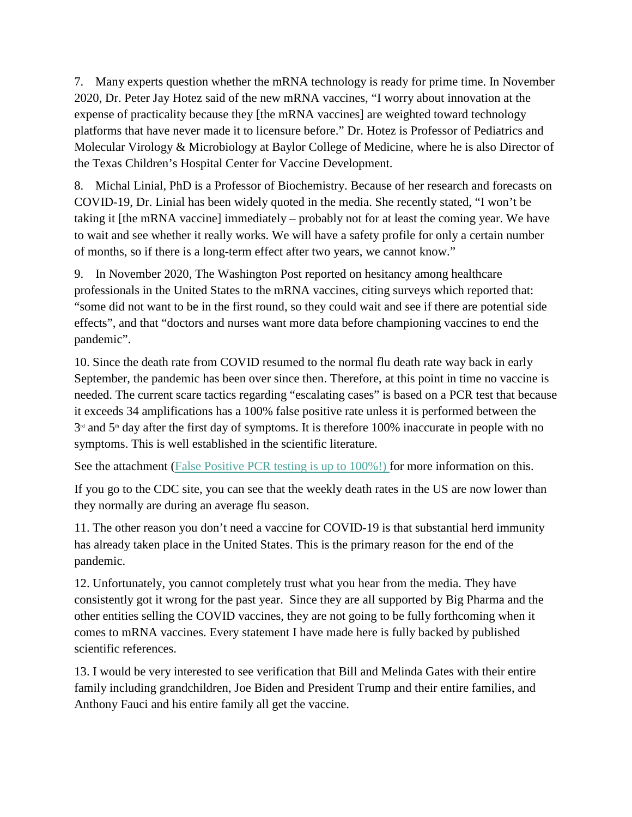7. Many experts question whether the mRNA technology is ready for prime time. In November 2020, Dr. Peter Jay Hotez said of the new mRNA vaccines, "I worry about innovation at the expense of practicality because they [the mRNA vaccines] are weighted toward technology platforms that have never made it to licensure before." Dr. Hotez is Professor of Pediatrics and Molecular Virology & Microbiology at Baylor College of Medicine, where he is also Director of the Texas Children's Hospital Center for Vaccine Development.

8. Michal Linial, PhD is a Professor of Biochemistry. Because of her research and forecasts on COVID-19, Dr. Linial has been widely quoted in the media. She recently stated, "I won't be taking it [the mRNA vaccine] immediately – probably not for at least the coming year. We have to wait and see whether it really works. We will have a safety profile for only a certain number of months, so if there is a long-term effect after two years, we cannot know."

9. In November 2020, The Washington Post reported on hesitancy among healthcare professionals in the United States to the mRNA vaccines, citing surveys which reported that: "some did not want to be in the first round, so they could wait and see if there are potential side effects", and that "doctors and nurses want more data before championing vaccines to end the pandemic".

10. Since the death rate from COVID resumed to the normal flu death rate way back in early September, the pandemic has been over since then. Therefore, at this point in time no vaccine is needed. The current scare tactics regarding "escalating cases" is based on a PCR test that because it exceeds 34 amplifications has a 100% false positive rate unless it is performed between the  $3<sup>rd</sup>$  and  $5<sup>th</sup>$  day after the first day of symptoms. It is therefore 100% inaccurate in people with no symptoms. This is well established in the scientific literature.

See the attachment [\(False Positive PCR testing is up to 100%!\)](http://r20.rs6.net/tn.jsp?f=001rXePw-M_RStjXoFSvR5agBS1rFBTY_mLGKjRMkmajaI0ygP_luqBDgeBSgpSEWJZg6M9liCkhEaR-jTbtMXKbE3caBtp2qymeAULXUDMphOtYBTFdJiRxU0PCaSdaHYscCQ1Lmop7GxX81LrUc7O83XpSgDVFEW9ooSNoAD9YoqzFrNp7e96PjPzC8bGP9bESWufQ6UNAmjUc1qkmFPAYrR83qBhtlw4SgqEI6SiKMk=&c=iU0vqu-5NCrk_kli9TfWCQQxjmXtOVkt56gx11TSNU4sC6BF0rNJ0A==&ch=waM5QnDmLIbAmy1z_cp5Rcj4uLMbbiRs6StDkpgCd3XL-7Yfv60vrQ==) for more information on this.

If you go to the CDC site, you can see that the weekly death rates in the US are now lower than they normally are during an average flu season.

11. The other reason you don't need a vaccine for COVID-19 is that substantial herd immunity has already taken place in the United States. This is the primary reason for the end of the pandemic.

12. Unfortunately, you cannot completely trust what you hear from the media. They have consistently got it wrong for the past year. Since they are all supported by Big Pharma and the other entities selling the COVID vaccines, they are not going to be fully forthcoming when it comes to mRNA vaccines. Every statement I have made here is fully backed by published scientific references.

13. I would be very interested to see verification that Bill and Melinda Gates with their entire family including grandchildren, Joe Biden and President Trump and their entire families, and Anthony Fauci and his entire family all get the vaccine.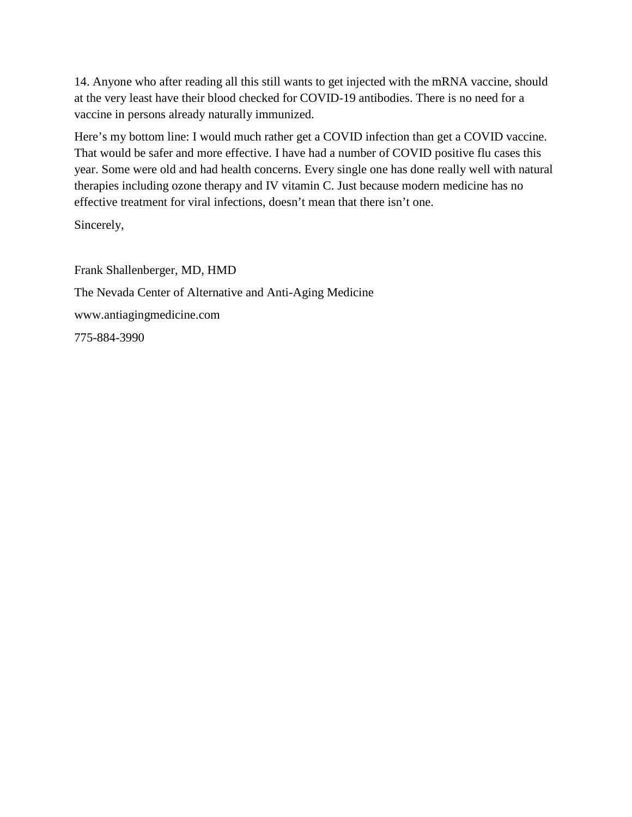14. Anyone who after reading all this still wants to get injected with the mRNA vaccine, should at the very least have their blood checked for COVID-19 antibodies. There is no need for a vaccine in persons already naturally immunized.

Here's my bottom line: I would much rather get a COVID infection than get a COVID vaccine. That would be safer and more effective. I have had a number of COVID positive flu cases this year. Some were old and had health concerns. Every single one has done really well with natural therapies including ozone therapy and IV vitamin C. Just because modern medicine has no effective treatment for viral infections, doesn't mean that there isn't one.

Sincerely,

Frank Shallenberger, MD, HMD The Nevada Center of Alternative and Anti-Aging Medicine www.antiagingmedicine.com 775-884-3990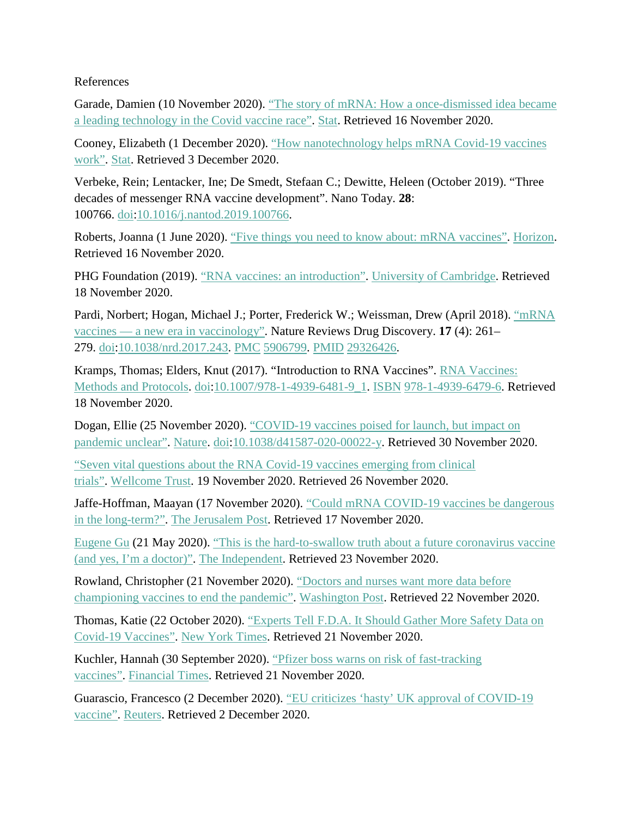## References

Garade, Damien (10 November 2020). ["The story of mRNA: How a once-dismissed idea became](http://r20.rs6.net/tn.jsp?f=001rXePw-M_RStjXoFSvR5agBS1rFBTY_mLGKjRMkmajaI0ygP_luqBDgeBSgpSEWJZpSrANNVeGjVCDWQ6bwyfzpx1Pr_OjF9OqrDWlgCg7Yhk0iKcGrd2rL4x27GluwJontrQIKqof06-A61cIAlI-34TKjOJfaa4fzpxPp2YuR-Dd1gIKZrRJMtdxNCItL-f8YfnC7PtULBnRNjb8efWWISyCh4REhO-j_0gIRyIo69rdiC20no6Fg_X_3QY-KXyFPzJ9ouc0vw2eWRtOjL0yBZtjMZD_4drqKhBya0xN3c=&c=iU0vqu-5NCrk_kli9TfWCQQxjmXtOVkt56gx11TSNU4sC6BF0rNJ0A==&ch=waM5QnDmLIbAmy1z_cp5Rcj4uLMbbiRs6StDkpgCd3XL-7Yfv60vrQ==)  [a leading technology in the Covid vaccine race".](http://r20.rs6.net/tn.jsp?f=001rXePw-M_RStjXoFSvR5agBS1rFBTY_mLGKjRMkmajaI0ygP_luqBDgeBSgpSEWJZpSrANNVeGjVCDWQ6bwyfzpx1Pr_OjF9OqrDWlgCg7Yhk0iKcGrd2rL4x27GluwJontrQIKqof06-A61cIAlI-34TKjOJfaa4fzpxPp2YuR-Dd1gIKZrRJMtdxNCItL-f8YfnC7PtULBnRNjb8efWWISyCh4REhO-j_0gIRyIo69rdiC20no6Fg_X_3QY-KXyFPzJ9ouc0vw2eWRtOjL0yBZtjMZD_4drqKhBya0xN3c=&c=iU0vqu-5NCrk_kli9TfWCQQxjmXtOVkt56gx11TSNU4sC6BF0rNJ0A==&ch=waM5QnDmLIbAmy1z_cp5Rcj4uLMbbiRs6StDkpgCd3XL-7Yfv60vrQ==) [Stat.](http://r20.rs6.net/tn.jsp?f=001rXePw-M_RStjXoFSvR5agBS1rFBTY_mLGKjRMkmajaI0ygP_luqBDgeBSgpSEWJZn6O3n14G3wXJoypQ2WVl_sis5NGOyRSoZS9LlTsIG967mici_LOqxGhX6kmyl6Y2YVAUMkeMA1MTKMgNbeP0RFh16hmrietdsKMTA79Cc6LA9G6BHjgUPA==&c=iU0vqu-5NCrk_kli9TfWCQQxjmXtOVkt56gx11TSNU4sC6BF0rNJ0A==&ch=waM5QnDmLIbAmy1z_cp5Rcj4uLMbbiRs6StDkpgCd3XL-7Yfv60vrQ==) Retrieved 16 November 2020.

Cooney, Elizabeth (1 December 2020). ["How nanotechnology helps mRNA Covid-19 vaccines](http://r20.rs6.net/tn.jsp?f=001rXePw-M_RStjXoFSvR5agBS1rFBTY_mLGKjRMkmajaI0ygP_luqBDgeBSgpSEWJZngG_6L0IISj88qJe-MBoXvDBPFAAcQIpKVISTwwad4dkIgWNlK95ymeXWlHQc43EMc-JoDPg6n-ctOpqxjhTDLri4M3KTk7fa7hGkoLG_6pR4nagZbJhdavHBBqH621M5I6kPF1iHPpO9HjOkuVQf8mqNCXcuNXuMOF4ceFkJmbEhI_UgI5RGQ==&c=iU0vqu-5NCrk_kli9TfWCQQxjmXtOVkt56gx11TSNU4sC6BF0rNJ0A==&ch=waM5QnDmLIbAmy1z_cp5Rcj4uLMbbiRs6StDkpgCd3XL-7Yfv60vrQ==)  [work".](http://r20.rs6.net/tn.jsp?f=001rXePw-M_RStjXoFSvR5agBS1rFBTY_mLGKjRMkmajaI0ygP_luqBDgeBSgpSEWJZngG_6L0IISj88qJe-MBoXvDBPFAAcQIpKVISTwwad4dkIgWNlK95ymeXWlHQc43EMc-JoDPg6n-ctOpqxjhTDLri4M3KTk7fa7hGkoLG_6pR4nagZbJhdavHBBqH621M5I6kPF1iHPpO9HjOkuVQf8mqNCXcuNXuMOF4ceFkJmbEhI_UgI5RGQ==&c=iU0vqu-5NCrk_kli9TfWCQQxjmXtOVkt56gx11TSNU4sC6BF0rNJ0A==&ch=waM5QnDmLIbAmy1z_cp5Rcj4uLMbbiRs6StDkpgCd3XL-7Yfv60vrQ==) [Stat.](http://r20.rs6.net/tn.jsp?f=001rXePw-M_RStjXoFSvR5agBS1rFBTY_mLGKjRMkmajaI0ygP_luqBDgeBSgpSEWJZn6O3n14G3wXJoypQ2WVl_sis5NGOyRSoZS9LlTsIG967mici_LOqxGhX6kmyl6Y2YVAUMkeMA1MTKMgNbeP0RFh16hmrietdsKMTA79Cc6LA9G6BHjgUPA==&c=iU0vqu-5NCrk_kli9TfWCQQxjmXtOVkt56gx11TSNU4sC6BF0rNJ0A==&ch=waM5QnDmLIbAmy1z_cp5Rcj4uLMbbiRs6StDkpgCd3XL-7Yfv60vrQ==) Retrieved 3 December 2020.

Verbeke, Rein; Lentacker, Ine; De Smedt, Stefaan C.; Dewitte, Heleen (October 2019). "Three decades of messenger RNA vaccine development". Nano Today. **28**: 100766. [doi](http://r20.rs6.net/tn.jsp?f=001rXePw-M_RStjXoFSvR5agBS1rFBTY_mLGKjRMkmajaI0ygP_luqBDgeBSgpSEWJZKaAdkUr8WEqIvF_Mt-r5CwOjZhv70mb85vSHXTr8192UF0YWufMdiEOerEE2qw9vxHgZ7TvnW4C53hDbM7ktZ0xkDT_SZhORn9QFJaMLvcKRjGtxRe-dzg==&c=iU0vqu-5NCrk_kli9TfWCQQxjmXtOVkt56gx11TSNU4sC6BF0rNJ0A==&ch=waM5QnDmLIbAmy1z_cp5Rcj4uLMbbiRs6StDkpgCd3XL-7Yfv60vrQ==)[:10.1016/j.nantod.2019.100766.](http://r20.rs6.net/tn.jsp?f=001rXePw-M_RStjXoFSvR5agBS1rFBTY_mLGKjRMkmajaI0ygP_luqBDgeBSgpSEWJZao_TcQj9Msm78OfcaEZb-VcvmGR63CuONshlZKIcRqlJFx3dMmLAq4bx487aijly4r30XXhuFTpge1llKnqhB2yWzD7z5ucZhcmUgAsZe0U3eFsKDSRzUw==&c=iU0vqu-5NCrk_kli9TfWCQQxjmXtOVkt56gx11TSNU4sC6BF0rNJ0A==&ch=waM5QnDmLIbAmy1z_cp5Rcj4uLMbbiRs6StDkpgCd3XL-7Yfv60vrQ==)

Roberts, Joanna (1 June 2020). ["Five things you need to know about: mRNA vaccines".](http://r20.rs6.net/tn.jsp?f=001rXePw-M_RStjXoFSvR5agBS1rFBTY_mLGKjRMkmajaI0ygP_luqBDgeBSgpSEWJZNGI0n4b5C1FmS3y12zNCXkhmpPQ0XaGlB_r6D-76mhwOzVQJiyahxA_WRrLPEqZz-nwM1zmrdOhrqkSJ5KSqR6QBzj2MiMmj2VtJCUEboaHxpTGHetia1h2hELTi73F0fgXvffqJpS_3U4b95IbLJ6lnouMEHkVO8N9bcZmK09U=&c=iU0vqu-5NCrk_kli9TfWCQQxjmXtOVkt56gx11TSNU4sC6BF0rNJ0A==&ch=waM5QnDmLIbAmy1z_cp5Rcj4uLMbbiRs6StDkpgCd3XL-7Yfv60vrQ==) [Horizon.](http://r20.rs6.net/tn.jsp?f=001rXePw-M_RStjXoFSvR5agBS1rFBTY_mLGKjRMkmajaI0ygP_luqBDgeBSgpSEWJZ42Aw1O7x0MIn1N6OqNsEXNbR43H0-_FMUWkK1GmqRq03E5yoCbYm2WKOhdVZj3H2Oqsqacr7RVgmIhHyY876BTweNOilu31BSpn-sDyz--KHqgBBWOLrim2_An55IYNr&c=iU0vqu-5NCrk_kli9TfWCQQxjmXtOVkt56gx11TSNU4sC6BF0rNJ0A==&ch=waM5QnDmLIbAmy1z_cp5Rcj4uLMbbiRs6StDkpgCd3XL-7Yfv60vrQ==) Retrieved 16 November 2020.

PHG Foundation (2019). ["RNA vaccines: an introduction".](http://r20.rs6.net/tn.jsp?f=001rXePw-M_RStjXoFSvR5agBS1rFBTY_mLGKjRMkmajaI0ygP_luqBDgeBSgpSEWJZfQa421U9FSubPcMCWo8oH5Xq1wVX49MO9Ddmi0ajs4ecRJ6gpZ9MWW9YjmfsG3mnbunT2C1pwhhRLia92ZnF_NrGIRxiJEyC1etVj2hGftvoS9vuuer8xA==&c=iU0vqu-5NCrk_kli9TfWCQQxjmXtOVkt56gx11TSNU4sC6BF0rNJ0A==&ch=waM5QnDmLIbAmy1z_cp5Rcj4uLMbbiRs6StDkpgCd3XL-7Yfv60vrQ==) [University of Cambridge.](http://r20.rs6.net/tn.jsp?f=001rXePw-M_RStjXoFSvR5agBS1rFBTY_mLGKjRMkmajaI0ygP_luqBDgeBSgpSEWJZUZOquXI_G3wjq0EQOCwGAfEp852v5YLpFFzHiQzF5-qwN9kyzlQWk9SgiOqZ7UwEH5u7HvNiLPpXzlMIXBXlnJFe5WgAKmtwLNYVPlPuzrJciIefnxFByZvdpjRHU7mE&c=iU0vqu-5NCrk_kli9TfWCQQxjmXtOVkt56gx11TSNU4sC6BF0rNJ0A==&ch=waM5QnDmLIbAmy1z_cp5Rcj4uLMbbiRs6StDkpgCd3XL-7Yfv60vrQ==) Retrieved 18 November 2020.

Pardi, Norbert; Hogan, Michael J.; Porter, Frederick W.; Weissman, Drew (April 2018). ["mRNA](http://r20.rs6.net/tn.jsp?f=001rXePw-M_RStjXoFSvR5agBS1rFBTY_mLGKjRMkmajaI0ygP_luqBDgeBSgpSEWJZgnO8WACIUawyjLPR_MeOTgQ-Dnly_GTwWbnd7NTannhBt2wAqQe8BWiN6wqS72y6BqT0qQIse_BjBxaZ3w5Y1sM0zrMbjEIi5PZRUURUpBEtICCEk9GsHFbJ5Cr2HgYK&c=iU0vqu-5NCrk_kli9TfWCQQxjmXtOVkt56gx11TSNU4sC6BF0rNJ0A==&ch=waM5QnDmLIbAmy1z_cp5Rcj4uLMbbiRs6StDkpgCd3XL-7Yfv60vrQ==)  vaccines — [a new era in vaccinology".](http://r20.rs6.net/tn.jsp?f=001rXePw-M_RStjXoFSvR5agBS1rFBTY_mLGKjRMkmajaI0ygP_luqBDgeBSgpSEWJZgnO8WACIUawyjLPR_MeOTgQ-Dnly_GTwWbnd7NTannhBt2wAqQe8BWiN6wqS72y6BqT0qQIse_BjBxaZ3w5Y1sM0zrMbjEIi5PZRUURUpBEtICCEk9GsHFbJ5Cr2HgYK&c=iU0vqu-5NCrk_kli9TfWCQQxjmXtOVkt56gx11TSNU4sC6BF0rNJ0A==&ch=waM5QnDmLIbAmy1z_cp5Rcj4uLMbbiRs6StDkpgCd3XL-7Yfv60vrQ==) Nature Reviews Drug Discovery. **17** (4): 261– 279. [doi](http://r20.rs6.net/tn.jsp?f=001rXePw-M_RStjXoFSvR5agBS1rFBTY_mLGKjRMkmajaI0ygP_luqBDgeBSgpSEWJZKaAdkUr8WEqIvF_Mt-r5CwOjZhv70mb85vSHXTr8192UF0YWufMdiEOerEE2qw9vxHgZ7TvnW4C53hDbM7ktZ0xkDT_SZhORn9QFJaMLvcKRjGtxRe-dzg==&c=iU0vqu-5NCrk_kli9TfWCQQxjmXtOVkt56gx11TSNU4sC6BF0rNJ0A==&ch=waM5QnDmLIbAmy1z_cp5Rcj4uLMbbiRs6StDkpgCd3XL-7Yfv60vrQ==)[:10.1038/nrd.2017.243.](http://r20.rs6.net/tn.jsp?f=001rXePw-M_RStjXoFSvR5agBS1rFBTY_mLGKjRMkmajaI0ygP_luqBDgeBSgpSEWJZ-yrExIElbD6R8XardAc1myBWVZlLpLwndZhUQ427FBz0p1xHfhkIRimyqj59ahZedc4lMuySBjq6Yv2TAl7pVnLBBbJdCME1EZOCLKlS6S8=&c=iU0vqu-5NCrk_kli9TfWCQQxjmXtOVkt56gx11TSNU4sC6BF0rNJ0A==&ch=waM5QnDmLIbAmy1z_cp5Rcj4uLMbbiRs6StDkpgCd3XL-7Yfv60vrQ==) [PMC](http://r20.rs6.net/tn.jsp?f=001rXePw-M_RStjXoFSvR5agBS1rFBTY_mLGKjRMkmajaI0ygP_luqBDgeBSgpSEWJZK33YkMVXS4NUVKIB-Ivk8ENUc1OmkUpUVy0VpCwIDBhS2Hlv5sMEqjNqslq8EZgOxWBScXv6k2iaI0oQ98u72vXDVj4itrksBicbrfZVV-2bhtfEGIheBQ==&c=iU0vqu-5NCrk_kli9TfWCQQxjmXtOVkt56gx11TSNU4sC6BF0rNJ0A==&ch=waM5QnDmLIbAmy1z_cp5Rcj4uLMbbiRs6StDkpgCd3XL-7Yfv60vrQ==) [5906799.](http://r20.rs6.net/tn.jsp?f=001rXePw-M_RStjXoFSvR5agBS1rFBTY_mLGKjRMkmajaI0ygP_luqBDgeBSgpSEWJZgnO8WACIUawyjLPR_MeOTgQ-Dnly_GTwWbnd7NTannhBt2wAqQe8BWiN6wqS72y6BqT0qQIse_BjBxaZ3w5Y1sM0zrMbjEIi5PZRUURUpBEtICCEk9GsHFbJ5Cr2HgYK&c=iU0vqu-5NCrk_kli9TfWCQQxjmXtOVkt56gx11TSNU4sC6BF0rNJ0A==&ch=waM5QnDmLIbAmy1z_cp5Rcj4uLMbbiRs6StDkpgCd3XL-7Yfv60vrQ==) [PMID](http://r20.rs6.net/tn.jsp?f=001rXePw-M_RStjXoFSvR5agBS1rFBTY_mLGKjRMkmajaI0ygP_luqBDgeBSgpSEWJZ6jkN_ESv48yyB0hFG46PaYk23gd3NbUTrG1Eai-nXObN0btt-dFAMUcXQcTOnmHwASsHTd057LIQZV750QtAG2nk9Hzo6TY2SZ4et3iDuY_kEmeB_hZ7UQ==&c=iU0vqu-5NCrk_kli9TfWCQQxjmXtOVkt56gx11TSNU4sC6BF0rNJ0A==&ch=waM5QnDmLIbAmy1z_cp5Rcj4uLMbbiRs6StDkpgCd3XL-7Yfv60vrQ==) [29326426.](http://r20.rs6.net/tn.jsp?f=001rXePw-M_RStjXoFSvR5agBS1rFBTY_mLGKjRMkmajaI0ygP_luqBDgeBSgpSEWJZy2NeV_lufB6yUxxFcghTBm6BggtCOx6LIP7UKSukKSWh9G-1zLr1LBGa5K658cUD8U6t1sgndyr_3hWndTUoWuyo9AXD4vEMjhr41RR0p4o=&c=iU0vqu-5NCrk_kli9TfWCQQxjmXtOVkt56gx11TSNU4sC6BF0rNJ0A==&ch=waM5QnDmLIbAmy1z_cp5Rcj4uLMbbiRs6StDkpgCd3XL-7Yfv60vrQ==)

Kramps, Thomas; Elders, Knut (2017). "Introduction to RNA Vaccines". [RNA Vaccines:](http://r20.rs6.net/tn.jsp?f=001rXePw-M_RStjXoFSvR5agBS1rFBTY_mLGKjRMkmajaI0ygP_luqBDgeBSgpSEWJZRFvYkkvi6MF3SbCESHNqHoz07w-rpUntkOXqubX6dqBbQqc1WoI0Kar8-31qrZjkdC0CmP4qGJ1p9J5iFtNxAddlByLwFhrYFjWW430hyTLX4Vie-X1AvEIYNgIxA7TIqJms1XwMw5g=&c=iU0vqu-5NCrk_kli9TfWCQQxjmXtOVkt56gx11TSNU4sC6BF0rNJ0A==&ch=waM5QnDmLIbAmy1z_cp5Rcj4uLMbbiRs6StDkpgCd3XL-7Yfv60vrQ==)  [Methods and Protocols.](http://r20.rs6.net/tn.jsp?f=001rXePw-M_RStjXoFSvR5agBS1rFBTY_mLGKjRMkmajaI0ygP_luqBDgeBSgpSEWJZRFvYkkvi6MF3SbCESHNqHoz07w-rpUntkOXqubX6dqBbQqc1WoI0Kar8-31qrZjkdC0CmP4qGJ1p9J5iFtNxAddlByLwFhrYFjWW430hyTLX4Vie-X1AvEIYNgIxA7TIqJms1XwMw5g=&c=iU0vqu-5NCrk_kli9TfWCQQxjmXtOVkt56gx11TSNU4sC6BF0rNJ0A==&ch=waM5QnDmLIbAmy1z_cp5Rcj4uLMbbiRs6StDkpgCd3XL-7Yfv60vrQ==) [doi](http://r20.rs6.net/tn.jsp?f=001rXePw-M_RStjXoFSvR5agBS1rFBTY_mLGKjRMkmajaI0ygP_luqBDgeBSgpSEWJZKaAdkUr8WEqIvF_Mt-r5CwOjZhv70mb85vSHXTr8192UF0YWufMdiEOerEE2qw9vxHgZ7TvnW4C53hDbM7ktZ0xkDT_SZhORn9QFJaMLvcKRjGtxRe-dzg==&c=iU0vqu-5NCrk_kli9TfWCQQxjmXtOVkt56gx11TSNU4sC6BF0rNJ0A==&ch=waM5QnDmLIbAmy1z_cp5Rcj4uLMbbiRs6StDkpgCd3XL-7Yfv60vrQ==)[:10.1007/978-1-4939-6481-9\\_1.](http://r20.rs6.net/tn.jsp?f=001rXePw-M_RStjXoFSvR5agBS1rFBTY_mLGKjRMkmajaI0ygP_luqBDgeBSgpSEWJZ97AvaAJpMZ2jD2HFXUwfXtFHyvOmLzXIkDL_jsW61y61OUYDTRYK3IkFTRAzC6y2rgUoxSwmNcICBUVil7zT4-zZl3_OmC39f7Elmx9ukRcLXCDfB90WrQ==&c=iU0vqu-5NCrk_kli9TfWCQQxjmXtOVkt56gx11TSNU4sC6BF0rNJ0A==&ch=waM5QnDmLIbAmy1z_cp5Rcj4uLMbbiRs6StDkpgCd3XL-7Yfv60vrQ==) [ISBN](http://r20.rs6.net/tn.jsp?f=001rXePw-M_RStjXoFSvR5agBS1rFBTY_mLGKjRMkmajaI0ygP_luqBDgeBSgpSEWJZG0swpUwnw9Xo7aKcUQRcNvvVYO3XCzcgEFAtAuOU0uMviW3PSNZz2do-QZTt3asPPHmeo-5454NbgdWNE8-JwypEF28RIdhLdLou6OJEmACzs8hCMC9wYA==&c=iU0vqu-5NCrk_kli9TfWCQQxjmXtOVkt56gx11TSNU4sC6BF0rNJ0A==&ch=waM5QnDmLIbAmy1z_cp5Rcj4uLMbbiRs6StDkpgCd3XL-7Yfv60vrQ==) [978-1-4939-6479-6.](http://r20.rs6.net/tn.jsp?f=001rXePw-M_RStjXoFSvR5agBS1rFBTY_mLGKjRMkmajaI0ygP_luqBDgeBSgpSEWJZA5LpAHPTgQtMrSlAmT1DNtnx5Z3DURZOhFp4lyqJU-LcWotumhveME4RlUIRWFbzSefbT1zXFKRXYUi8zDGNPvk_IuGFGdhTXz2OGp_ZI5OeyhdqBF3qPTAoACb7uu2xUjXStWayV1gK2BpW5j0RZw==&c=iU0vqu-5NCrk_kli9TfWCQQxjmXtOVkt56gx11TSNU4sC6BF0rNJ0A==&ch=waM5QnDmLIbAmy1z_cp5Rcj4uLMbbiRs6StDkpgCd3XL-7Yfv60vrQ==) Retrieved 18 November 2020.

Dogan, Ellie (25 November 2020). ["COVID-19 vaccines poised for launch, but impact on](http://r20.rs6.net/tn.jsp?f=001rXePw-M_RStjXoFSvR5agBS1rFBTY_mLGKjRMkmajaI0ygP_luqBDgeBSgpSEWJZ1tEUqjc_jLpYXe-JpfBhy6GZjLM-3vSRRQjtuhtXLcfnvILYoF1QZcRafnmI8e2f7TOlF0rVnavl9KCmUMlXBV4oHAnGLLJwpv63OpylwJswyYFfUEa62A==&c=iU0vqu-5NCrk_kli9TfWCQQxjmXtOVkt56gx11TSNU4sC6BF0rNJ0A==&ch=waM5QnDmLIbAmy1z_cp5Rcj4uLMbbiRs6StDkpgCd3XL-7Yfv60vrQ==)  [pandemic unclear".](http://r20.rs6.net/tn.jsp?f=001rXePw-M_RStjXoFSvR5agBS1rFBTY_mLGKjRMkmajaI0ygP_luqBDgeBSgpSEWJZ1tEUqjc_jLpYXe-JpfBhy6GZjLM-3vSRRQjtuhtXLcfnvILYoF1QZcRafnmI8e2f7TOlF0rVnavl9KCmUMlXBV4oHAnGLLJwpv63OpylwJswyYFfUEa62A==&c=iU0vqu-5NCrk_kli9TfWCQQxjmXtOVkt56gx11TSNU4sC6BF0rNJ0A==&ch=waM5QnDmLIbAmy1z_cp5Rcj4uLMbbiRs6StDkpgCd3XL-7Yfv60vrQ==) [Nature.](http://r20.rs6.net/tn.jsp?f=001rXePw-M_RStjXoFSvR5agBS1rFBTY_mLGKjRMkmajaI0ygP_luqBDgeBSgpSEWJZvSYA4TTArzQcQU0ZfdEjIDtWqYSoKucaFDzJ_7ujRhwwttdk7YinPkh72t_RGmx-GyOHTzbm-zH5koeLyA6BuIvoQ_PBVwqzHFEB8iRLuEVuX9akilWAnw==&c=iU0vqu-5NCrk_kli9TfWCQQxjmXtOVkt56gx11TSNU4sC6BF0rNJ0A==&ch=waM5QnDmLIbAmy1z_cp5Rcj4uLMbbiRs6StDkpgCd3XL-7Yfv60vrQ==) [doi:](http://r20.rs6.net/tn.jsp?f=001rXePw-M_RStjXoFSvR5agBS1rFBTY_mLGKjRMkmajaI0ygP_luqBDgeBSgpSEWJZKaAdkUr8WEqIvF_Mt-r5CwOjZhv70mb85vSHXTr8192UF0YWufMdiEOerEE2qw9vxHgZ7TvnW4C53hDbM7ktZ0xkDT_SZhORn9QFJaMLvcKRjGtxRe-dzg==&c=iU0vqu-5NCrk_kli9TfWCQQxjmXtOVkt56gx11TSNU4sC6BF0rNJ0A==&ch=waM5QnDmLIbAmy1z_cp5Rcj4uLMbbiRs6StDkpgCd3XL-7Yfv60vrQ==)[10.1038/d41587-020-00022-y.](http://r20.rs6.net/tn.jsp?f=001rXePw-M_RStjXoFSvR5agBS1rFBTY_mLGKjRMkmajaI0ygP_luqBDgeBSgpSEWJZUkXrHoWQrQhnLsVjP6vW87OUVe20pf5LBaIjXc1Sf_bxYhkI6EFzbUtkkw1rMDO-DpY6WZJ2amJrvzsGj3-KUqk1pz4VApmigKux43-K_Bs=&c=iU0vqu-5NCrk_kli9TfWCQQxjmXtOVkt56gx11TSNU4sC6BF0rNJ0A==&ch=waM5QnDmLIbAmy1z_cp5Rcj4uLMbbiRs6StDkpgCd3XL-7Yfv60vrQ==) Retrieved 30 November 2020.

["Seven vital questions about the RNA Covid-19 vaccines emerging from clinical](http://r20.rs6.net/tn.jsp?f=001rXePw-M_RStjXoFSvR5agBS1rFBTY_mLGKjRMkmajaI0ygP_luqBDgeBSgpSEWJZQ4-2Upte8v3LOkwYs7Bnus8MHE1A0RtzTqAJEOb_aZorQK7NYKcdO-XXenIScEsmeA3ELqwPbrhxk_nOQV8DdqpwtWEq9vB7iRw1qLnkgz1CsGZLG57R-PQq0q7r2kVRIEOIyQbWlusFRmwzFGARGXLFRQsDE8Xw90jgGneHqWwgLhp-Up9W0A==&c=iU0vqu-5NCrk_kli9TfWCQQxjmXtOVkt56gx11TSNU4sC6BF0rNJ0A==&ch=waM5QnDmLIbAmy1z_cp5Rcj4uLMbbiRs6StDkpgCd3XL-7Yfv60vrQ==)  [trials".](http://r20.rs6.net/tn.jsp?f=001rXePw-M_RStjXoFSvR5agBS1rFBTY_mLGKjRMkmajaI0ygP_luqBDgeBSgpSEWJZQ4-2Upte8v3LOkwYs7Bnus8MHE1A0RtzTqAJEOb_aZorQK7NYKcdO-XXenIScEsmeA3ELqwPbrhxk_nOQV8DdqpwtWEq9vB7iRw1qLnkgz1CsGZLG57R-PQq0q7r2kVRIEOIyQbWlusFRmwzFGARGXLFRQsDE8Xw90jgGneHqWwgLhp-Up9W0A==&c=iU0vqu-5NCrk_kli9TfWCQQxjmXtOVkt56gx11TSNU4sC6BF0rNJ0A==&ch=waM5QnDmLIbAmy1z_cp5Rcj4uLMbbiRs6StDkpgCd3XL-7Yfv60vrQ==) [Wellcome Trust.](http://r20.rs6.net/tn.jsp?f=001rXePw-M_RStjXoFSvR5agBS1rFBTY_mLGKjRMkmajaI0ygP_luqBDgeBSgpSEWJZJmOdJjizPRqkO_oEIwI6LwPd9tkQgbk7nAO0IJFoDSeVg-twSc3JlgRgvdCKP8PpJHT23xO_9aDT9eQm3w4MgMc5zHDnuacF-S1DwqFj3ZI=&c=iU0vqu-5NCrk_kli9TfWCQQxjmXtOVkt56gx11TSNU4sC6BF0rNJ0A==&ch=waM5QnDmLIbAmy1z_cp5Rcj4uLMbbiRs6StDkpgCd3XL-7Yfv60vrQ==) 19 November 2020. Retrieved 26 November 2020.

Jaffe-Hoffman, Maayan (17 November 2020). ["Could mRNA COVID-19 vaccines be dangerous](http://r20.rs6.net/tn.jsp?f=001rXePw-M_RStjXoFSvR5agBS1rFBTY_mLGKjRMkmajaI0ygP_luqBDgeBSgpSEWJZ4wmvV3z5d1iUGxAi2m21NTEjOmLkLOLB0K2ysSZpUy-heGxuHVAAA2F86D2j600PL2T4Kv1YIj-MDJOvv7ZiOMv3o8BM7vxmot735J-h7CpgTznLArC9xdy1yyPCH4zgRTbWUg4DNwJejdhFzMhXiIjGOCNCRfdUMKX-wLkUjohNOCJ9mdkwMQ==&c=iU0vqu-5NCrk_kli9TfWCQQxjmXtOVkt56gx11TSNU4sC6BF0rNJ0A==&ch=waM5QnDmLIbAmy1z_cp5Rcj4uLMbbiRs6StDkpgCd3XL-7Yfv60vrQ==)  [in the long-term?".](http://r20.rs6.net/tn.jsp?f=001rXePw-M_RStjXoFSvR5agBS1rFBTY_mLGKjRMkmajaI0ygP_luqBDgeBSgpSEWJZ4wmvV3z5d1iUGxAi2m21NTEjOmLkLOLB0K2ysSZpUy-heGxuHVAAA2F86D2j600PL2T4Kv1YIj-MDJOvv7ZiOMv3o8BM7vxmot735J-h7CpgTznLArC9xdy1yyPCH4zgRTbWUg4DNwJejdhFzMhXiIjGOCNCRfdUMKX-wLkUjohNOCJ9mdkwMQ==&c=iU0vqu-5NCrk_kli9TfWCQQxjmXtOVkt56gx11TSNU4sC6BF0rNJ0A==&ch=waM5QnDmLIbAmy1z_cp5Rcj4uLMbbiRs6StDkpgCd3XL-7Yfv60vrQ==) [The Jerusalem Post.](http://r20.rs6.net/tn.jsp?f=001rXePw-M_RStjXoFSvR5agBS1rFBTY_mLGKjRMkmajaI0ygP_luqBDgeBSgpSEWJZQyKfYL6LSS9BkXR3Nls3BmQeCkrV0foWLzmvzjuv52u7Dr6Ec8xaIbyQISfHAnBHGSZRVQsF_VM5-M6y31mdwQ69TIXOZg3xYnd3sKpV1jitwXv0JZEuag==&c=iU0vqu-5NCrk_kli9TfWCQQxjmXtOVkt56gx11TSNU4sC6BF0rNJ0A==&ch=waM5QnDmLIbAmy1z_cp5Rcj4uLMbbiRs6StDkpgCd3XL-7Yfv60vrQ==) Retrieved 17 November 2020.

[Eugene Gu](http://r20.rs6.net/tn.jsp?f=001rXePw-M_RStjXoFSvR5agBS1rFBTY_mLGKjRMkmajaI0ygP_luqBDgeBSgpSEWJZ64BbsyGC2DKnX46-qzGFiL9YYopw17kLhVgn3apENqNK6qnYn_BOELF40HRLpbtszsOGj8kJQkGEG0IBZnt-B2WPEyWcJMQnCk63_wRcLcA=&c=iU0vqu-5NCrk_kli9TfWCQQxjmXtOVkt56gx11TSNU4sC6BF0rNJ0A==&ch=waM5QnDmLIbAmy1z_cp5Rcj4uLMbbiRs6StDkpgCd3XL-7Yfv60vrQ==) (21 May 2020). ["This is the hard-to-swallow truth about a future coronavirus vaccine](http://r20.rs6.net/tn.jsp?f=001rXePw-M_RStjXoFSvR5agBS1rFBTY_mLGKjRMkmajaI0ygP_luqBDgeBSgpSEWJZ6RcrclBky1FoDLeyoWYOghlLJ4yljzSFSM_Cn22OdJtCTOfZyPbT2aLXxxTnIoO2s-5dG5cwD8vF0Z_ORBvC5HIEJ_Kc1BMKrBdyKx4NwkY7Cu55XkFHWsaeUxInGbnSDhWOTYdoI3PaKOgmwYeiikf-5rxFcYDlsq9ChMr25UPhLy1gtDGKWvIe0dFchsV0faJbyAP9-mE=&c=iU0vqu-5NCrk_kli9TfWCQQxjmXtOVkt56gx11TSNU4sC6BF0rNJ0A==&ch=waM5QnDmLIbAmy1z_cp5Rcj4uLMbbiRs6StDkpgCd3XL-7Yfv60vrQ==)  [\(and yes, I'm a doctor\)".](http://r20.rs6.net/tn.jsp?f=001rXePw-M_RStjXoFSvR5agBS1rFBTY_mLGKjRMkmajaI0ygP_luqBDgeBSgpSEWJZ6RcrclBky1FoDLeyoWYOghlLJ4yljzSFSM_Cn22OdJtCTOfZyPbT2aLXxxTnIoO2s-5dG5cwD8vF0Z_ORBvC5HIEJ_Kc1BMKrBdyKx4NwkY7Cu55XkFHWsaeUxInGbnSDhWOTYdoI3PaKOgmwYeiikf-5rxFcYDlsq9ChMr25UPhLy1gtDGKWvIe0dFchsV0faJbyAP9-mE=&c=iU0vqu-5NCrk_kli9TfWCQQxjmXtOVkt56gx11TSNU4sC6BF0rNJ0A==&ch=waM5QnDmLIbAmy1z_cp5Rcj4uLMbbiRs6StDkpgCd3XL-7Yfv60vrQ==) [The Independent.](http://r20.rs6.net/tn.jsp?f=001rXePw-M_RStjXoFSvR5agBS1rFBTY_mLGKjRMkmajaI0ygP_luqBDgeBSgpSEWJZjGgEN7pOjTTsGGhoh4SNXOtGLvCH9BDaMvJ287QefO1pjrcebvxNW5RWEEjSkdamuEVcmnaBJcluFPzD2xR4q2gggBaR-00iX9pusaKL73fDVHwUszUq4Q==&c=iU0vqu-5NCrk_kli9TfWCQQxjmXtOVkt56gx11TSNU4sC6BF0rNJ0A==&ch=waM5QnDmLIbAmy1z_cp5Rcj4uLMbbiRs6StDkpgCd3XL-7Yfv60vrQ==) Retrieved 23 November 2020.

Rowland, Christopher (21 November 2020). ["Doctors and nurses want more data before](http://r20.rs6.net/tn.jsp?f=001rXePw-M_RStjXoFSvR5agBS1rFBTY_mLGKjRMkmajaI0ygP_luqBDgeBSgpSEWJZd1qxPGX8fZUyz9v4YjJh__OW-A7hxS_XzJOkR4noccrJpzWvGnWs_DiP7DW6oPH3jDE4kauZIZ0UONWf4OcffA1ay-eqaWAccPnr71uFKCcBa-k4PY9lYbRkQNrlZ8BJoij1LLuWJWIzkMFD530rclMEk0pjucezwDIdeBkRL1Cj2mZ3fBn0VavzSslTHTt1&c=iU0vqu-5NCrk_kli9TfWCQQxjmXtOVkt56gx11TSNU4sC6BF0rNJ0A==&ch=waM5QnDmLIbAmy1z_cp5Rcj4uLMbbiRs6StDkpgCd3XL-7Yfv60vrQ==)  [championing vaccines to end the pandemic".](http://r20.rs6.net/tn.jsp?f=001rXePw-M_RStjXoFSvR5agBS1rFBTY_mLGKjRMkmajaI0ygP_luqBDgeBSgpSEWJZd1qxPGX8fZUyz9v4YjJh__OW-A7hxS_XzJOkR4noccrJpzWvGnWs_DiP7DW6oPH3jDE4kauZIZ0UONWf4OcffA1ay-eqaWAccPnr71uFKCcBa-k4PY9lYbRkQNrlZ8BJoij1LLuWJWIzkMFD530rclMEk0pjucezwDIdeBkRL1Cj2mZ3fBn0VavzSslTHTt1&c=iU0vqu-5NCrk_kli9TfWCQQxjmXtOVkt56gx11TSNU4sC6BF0rNJ0A==&ch=waM5QnDmLIbAmy1z_cp5Rcj4uLMbbiRs6StDkpgCd3XL-7Yfv60vrQ==) [Washington Post.](http://r20.rs6.net/tn.jsp?f=001rXePw-M_RStjXoFSvR5agBS1rFBTY_mLGKjRMkmajaI0ygP_luqBDgeBSgpSEWJZRA1Chqixd3vPYT_Q-XPNMxCMTab6Ivebly7CR3wosuVGEIU19bQTnVBEK1E9GMex_MHNXJZb8qiXZ0-5oAtWle6rHy-Wv2jReFls0Tw1gxDLI1EhmdGINg==&c=iU0vqu-5NCrk_kli9TfWCQQxjmXtOVkt56gx11TSNU4sC6BF0rNJ0A==&ch=waM5QnDmLIbAmy1z_cp5Rcj4uLMbbiRs6StDkpgCd3XL-7Yfv60vrQ==) Retrieved 22 November 2020.

Thomas, Katie (22 October 2020). "Experts Tell F.D.A. It Should Gather More Safety Data on [Covid-19 Vaccines".](http://r20.rs6.net/tn.jsp?f=001rXePw-M_RStjXoFSvR5agBS1rFBTY_mLGKjRMkmajaI0ygP_luqBDgeBSgpSEWJZf1gNI2lobvdoSjagN0WvyhVdT9Z8LBGT8Gy4_IqEw2KXFdmXYSFT-g-GWEScyukFS1MUhDtRLbEeE6tba6pG5jZFh1XtYgy4XoYEa1lSlfjiBNexb-iIxGfERaW0iSVCOkBagNAUijyd7ZjhQulrqw35RBLpXx-n8W2cjxUK4x8=&c=iU0vqu-5NCrk_kli9TfWCQQxjmXtOVkt56gx11TSNU4sC6BF0rNJ0A==&ch=waM5QnDmLIbAmy1z_cp5Rcj4uLMbbiRs6StDkpgCd3XL-7Yfv60vrQ==) [New York Times.](http://r20.rs6.net/tn.jsp?f=001rXePw-M_RStjXoFSvR5agBS1rFBTY_mLGKjRMkmajaI0ygP_luqBDgeBSgpSEWJZdNMMwdoeupXt8zStDrgIylHCJZVuXb9fGAo2O_DkGJIn2kfbwTVMg5Of3XxR2HoVl83ezwlIU03QERQP43XrRGaAG6X9zMAaVitBDjd82ao=&c=iU0vqu-5NCrk_kli9TfWCQQxjmXtOVkt56gx11TSNU4sC6BF0rNJ0A==&ch=waM5QnDmLIbAmy1z_cp5Rcj4uLMbbiRs6StDkpgCd3XL-7Yfv60vrQ==) Retrieved 21 November 2020.

Kuchler, Hannah (30 September 2020). ["Pfizer boss warns on risk of fast-tracking](http://r20.rs6.net/tn.jsp?f=001rXePw-M_RStjXoFSvR5agBS1rFBTY_mLGKjRMkmajaI0ygP_luqBDgeBSgpSEWJZycdUUU7IFETlupF0h8JdeaeUCyuTWctNS8UT-hOdH9MwkmREECP_IAJTGT1lFaEvjmHjvr6_eMdpEromM-G68LkLBCwOIO3urCf0EgHG4j42wGyGAJm24DKUiHfa8byKtUcpcZc_SAM=&c=iU0vqu-5NCrk_kli9TfWCQQxjmXtOVkt56gx11TSNU4sC6BF0rNJ0A==&ch=waM5QnDmLIbAmy1z_cp5Rcj4uLMbbiRs6StDkpgCd3XL-7Yfv60vrQ==)  [vaccines".](http://r20.rs6.net/tn.jsp?f=001rXePw-M_RStjXoFSvR5agBS1rFBTY_mLGKjRMkmajaI0ygP_luqBDgeBSgpSEWJZycdUUU7IFETlupF0h8JdeaeUCyuTWctNS8UT-hOdH9MwkmREECP_IAJTGT1lFaEvjmHjvr6_eMdpEromM-G68LkLBCwOIO3urCf0EgHG4j42wGyGAJm24DKUiHfa8byKtUcpcZc_SAM=&c=iU0vqu-5NCrk_kli9TfWCQQxjmXtOVkt56gx11TSNU4sC6BF0rNJ0A==&ch=waM5QnDmLIbAmy1z_cp5Rcj4uLMbbiRs6StDkpgCd3XL-7Yfv60vrQ==) [Financial Times.](http://r20.rs6.net/tn.jsp?f=001rXePw-M_RStjXoFSvR5agBS1rFBTY_mLGKjRMkmajaI0ygP_luqBDgeBSgpSEWJZIaFEKScLc3O4jVmBn09eTC5KjFAyTfWpzV_OaTlw4ihipXzaN5YdBt0cMzNU-Ayj2QAQpif7UvcFZc1-xRp9YWE3jCEnM0FFxSHdfmU0-wre3feUgDU2Zg==&c=iU0vqu-5NCrk_kli9TfWCQQxjmXtOVkt56gx11TSNU4sC6BF0rNJ0A==&ch=waM5QnDmLIbAmy1z_cp5Rcj4uLMbbiRs6StDkpgCd3XL-7Yfv60vrQ==) Retrieved 21 November 2020.

Guarascio, Francesco (2 December 2020). "EU criticizes 'hasty' [UK approval of COVID-19](http://r20.rs6.net/tn.jsp?f=001rXePw-M_RStjXoFSvR5agBS1rFBTY_mLGKjRMkmajaI0ygP_luqBDgeBSgpSEWJZTgvXARP6IdMp--i6KJgb6aWmq9CWWB4KeUrnR-ieA_e3Oh34T90CoxQLIqZ3TuoJL_dx2H_g8iTAif1dMYyrE4QraTuZE4OzUyalENqpAW0x-PEz1C6jg9SydYTY_pMJtWSr4MM6xlzXk1loYafmbnIcyqmEbLe3GgoaRmbkiYP3L_zc-qZ9W81jf5d7TVhe3_G4uTb0YmmylIvKdZ4WLW-TcNpkCD-fgikN8cTcwWBX7L3RNgw7NxpnMtwcluGh&c=iU0vqu-5NCrk_kli9TfWCQQxjmXtOVkt56gx11TSNU4sC6BF0rNJ0A==&ch=waM5QnDmLIbAmy1z_cp5Rcj4uLMbbiRs6StDkpgCd3XL-7Yfv60vrQ==)  [vaccine".](http://r20.rs6.net/tn.jsp?f=001rXePw-M_RStjXoFSvR5agBS1rFBTY_mLGKjRMkmajaI0ygP_luqBDgeBSgpSEWJZTgvXARP6IdMp--i6KJgb6aWmq9CWWB4KeUrnR-ieA_e3Oh34T90CoxQLIqZ3TuoJL_dx2H_g8iTAif1dMYyrE4QraTuZE4OzUyalENqpAW0x-PEz1C6jg9SydYTY_pMJtWSr4MM6xlzXk1loYafmbnIcyqmEbLe3GgoaRmbkiYP3L_zc-qZ9W81jf5d7TVhe3_G4uTb0YmmylIvKdZ4WLW-TcNpkCD-fgikN8cTcwWBX7L3RNgw7NxpnMtwcluGh&c=iU0vqu-5NCrk_kli9TfWCQQxjmXtOVkt56gx11TSNU4sC6BF0rNJ0A==&ch=waM5QnDmLIbAmy1z_cp5Rcj4uLMbbiRs6StDkpgCd3XL-7Yfv60vrQ==) [Reuters.](http://r20.rs6.net/tn.jsp?f=001rXePw-M_RStjXoFSvR5agBS1rFBTY_mLGKjRMkmajaI0ygP_luqBDgeBSgpSEWJZCgu1Q6KlPwuZrOqL5nvOCziqQOm-7CuIOPvuZm57EF0BXifW7tDZmneEUNDWDiBuszfHpAU_9TpKcRn8cTJd1JSXipleDMPImqDVKZBKsMc=&c=iU0vqu-5NCrk_kli9TfWCQQxjmXtOVkt56gx11TSNU4sC6BF0rNJ0A==&ch=waM5QnDmLIbAmy1z_cp5Rcj4uLMbbiRs6StDkpgCd3XL-7Yfv60vrQ==) Retrieved 2 December 2020.